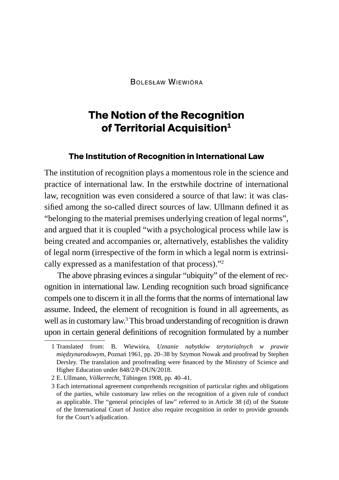Bolesław Wiewióra

# **The Notion of the Recognition of Territorial Acquisition1**

#### **The Institution of Recognition in International Law**

The institution of recognition plays a momentous role in the science and practice of international law. In the erstwhile doctrine of international law, recognition was even considered a source of that law: it was classified among the so-called direct sources of law. Ullmann defined it as "belonging to the material premises underlying creation of legal norms", and argued that it is coupled "with a psychological process while law is being created and accompanies or, alternatively, establishes the validity of legal norm (irrespective of the form in which a legal norm is extrinsically expressed as a manifestation of that process)."2

The above phrasing evinces a singular "ubiquity" of the element of recognition in international law. Lending recognition such broad significance compels one to discern it in all the forms that the norms of international law assume. Indeed, the element of recognition is found in all agreements, as well as in customary law. $3$  This broad understanding of recognition is drawn upon in certain general definitions of recognition formulated by a number

<sup>1</sup> Translated from: B. Wiewióra, *Uznanie nabytków terytorialnych w prawie międzynarodowym*, Poznań 1961, pp. 20–38 by Szymon Nowak and proofread by Stephen Dersley. The translation and proofreading were financed by the Ministry of Science and Higher Education under 848/2/P-DUN/2018.

<sup>2</sup> E. Ullmann, *Völkerrecht*, T*ü*bingen 1908, pp. 40–41.

<sup>3</sup> Each international agreement comprehends recognition of particular rights and obligations of the parties, while customary law relies on the recognition of a given rule of conduct as applicable. The "general principles of law" referred to in Article 38 (d) of the Statute of the International Court of Justice also require recognition in order to provide grounds for the Court's adjudication.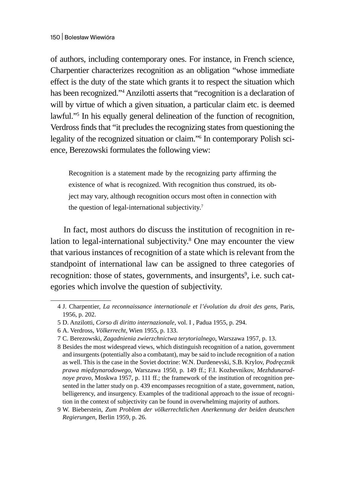of authors, including contemporary ones. For instance, in French science, Charpentier characterizes recognition as an obligation "whose immediate effect is the duty of the state which grants it to respect the situation which has been recognized."<sup>4</sup> Anzilotti asserts that "recognition is a declaration of will by virtue of which a given situation, a particular claim etc. is deemed lawful."5 In his equally general delineation of the function of recognition, Verdross finds that "it precludes the recognizing states from questioning the legality of the recognized situation or claim."<sup>6</sup> In contemporary Polish science, Berezowski formulates the following view:

Recognition is a statement made by the recognizing party affirming the existence of what is recognized. With recognition thus construed, its object may vary, although recognition occurs most often in connection with the question of legal-international subjectivity.<sup>7</sup>

In fact, most authors do discuss the institution of recognition in relation to legal-international subjectivity.<sup>8</sup> One may encounter the view that various instances of recognition of a state which is relevant from the standpoint of international law can be assigned to three categories of recognition: those of states, governments, and insurgents<sup>9</sup>, i.e. such categories which involve the question of subjectivity.

<sup>4</sup> J. Charpentier, *La reconnaissance internationale et l'évolution du droit des gens*, Paris, 1956, p. 202.

<sup>5</sup> D. Anzilotti, *Corso di diritto internazionale*, vol. I , Padua 1955, p. 294.

<sup>6</sup> A. Verdross, *Völkerrecht*, Wien 1955, p. 133.

<sup>7</sup> C. Berezowski, *Zagadnienia zwierzchnictwa terytorialnego*, Warszawa 1957, p. 13.

<sup>8</sup> Besides the most widespread views, which distinguish recognition of a nation, government and insurgents (potentially also a combatant), may be said to include recognition of a nation as well. This is the case in the Soviet doctrine: W.N. Durdenevski, S.B. Krylov, *Podręcznik prawa międzynarodowego*, Warszawa 1950, p. 149 ff.; F.I. Kozhevnikov, *Mezhdunarodnoye pravo*, Moskwa 1957, p. 111 ff.; the framework of the institution of recognition presented in the latter study on p. 439 encompasses recognition of a state, government, nation, belligerency, and insurgency. Examples of the traditional approach to the issue of recognition in the context of subjectivity can be found in overwhelming majority of authors.

<sup>9</sup> W. Bieberstein, *Zum Problem der völkerrechtlichen Anerkennung der beiden deutschen Regierungen*, Berlin 1959, p. 26.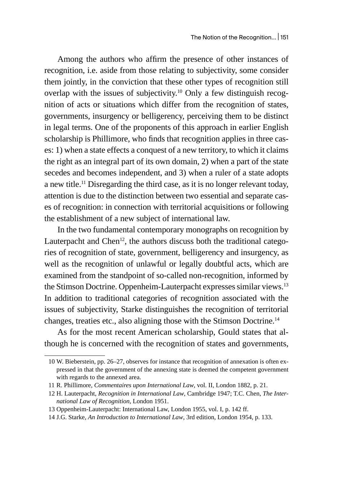Among the authors who affirm the presence of other instances of recognition, i.e. aside from those relating to subjectivity, some consider them jointly, in the conviction that these other types of recognition still overlap with the issues of subjectivity.<sup>10</sup> Only a few distinguish recognition of acts or situations which differ from the recognition of states, governments, insurgency or belligerency, perceiving them to be distinct in legal terms. One of the proponents of this approach in earlier English scholarship is Phillimore, who finds that recognition applies in three cases: 1) when a state effects a conquest of a new territory, to which it claims the right as an integral part of its own domain, 2) when a part of the state secedes and becomes independent, and 3) when a ruler of a state adopts a new title.11 Disregarding the third case, as it is no longer relevant today, attention is due to the distinction between two essential and separate cases of recognition: in connection with territorial acquisitions or following the establishment of a new subject of international law.

In the two fundamental contemporary monographs on recognition by Lauterpacht and Chen<sup>12</sup>, the authors discuss both the traditional categories of recognition of state, government, belligerency and insurgency, as well as the recognition of unlawful or legally doubtful acts, which are examined from the standpoint of so-called non-recognition, informed by the Stimson Doctrine. Oppenheim-Lauterpacht expresses similar views.<sup>13</sup> In addition to traditional categories of recognition associated with the issues of subjectivity, Starke distinguishes the recognition of territorial changes, treaties etc., also aligning those with the Stimson Doctrine.<sup>14</sup>

As for the most recent American scholarship, Gould states that although he is concerned with the recognition of states and governments,

<sup>10</sup> W. Bieberstein, pp. 26–27, observes for instance that recognition of annexation is often expressed in that the government of the annexing state is deemed the competent government with regards to the annexed area.

<sup>11</sup> R. Phillimore, *Commentaires upon International Law*, vol. II, London 1882, p. 21.

<sup>12</sup> H. Lauterpacht, *Recognition in International Law*, Cambridge 1947; T.C. Chen, *The International Law of Recognition*, London 1951.

<sup>13</sup> Oppenheim-Lauterpacht: International Law, London 1955, vol. I, p. 142 ff.

<sup>14</sup> J.G. Starke, *An Introduction to International Law*, 3rd edition, London 1954, p. 133.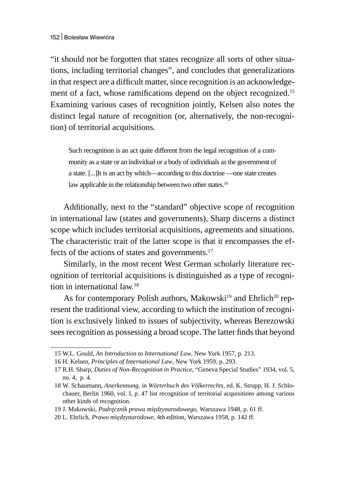"it should not be forgotten that states recognize all sorts of other situations, including territorial changes", and concludes that generalizations in that respect are a difficult matter, since recognition is an acknowledgement of a fact, whose ramifications depend on the object recognized.<sup>15</sup> Examining various cases of recognition jointly, Kelsen also notes the distinct legal nature of recognition (or, alternatively, the non-recognition) of territorial acquisitions.

Such recognition is an act quite different from the legal recognition of a community as a state or an individual or a body of individuals as the government of a state. [...]It is an act by which—according to this doctrine —one state creates law applicable in the relationship between two other states.<sup>16</sup>

Additionally, next to the "standard" objective scope of recognition in international law (states and governments), Sharp discerns a distinct scope which includes territorial acquisitions, agreements and situations. The characteristic trait of the latter scope is that it encompasses the effects of the actions of states and governments.<sup>17</sup>

Similarly, in the most recent West German scholarly literature recognition of territorial acquisitions is distinguished as a type of recognition in international law.<sup>18</sup>

As for contemporary Polish authors, Makowski<sup>19</sup> and Ehrlich<sup>20</sup> represent the traditional view, according to which the institution of recognition is exclusively linked to issues of subjectivity, whereas Berezowski sees recognition as possessing a broad scope. The latter finds that beyond

<sup>15</sup> W.L. Gould, *An Introduction to International Law*, New York 1957, p. 213.

<sup>16</sup> H. Kelsen, *Principles of International Law*, New York 1959, p. 293.

<sup>17</sup> R.H. Sharp, *Duties of Non-Recognition in Practice*, "Geneva Special Studies" 1934, vol. 5, no. 4, p. 4.

<sup>18</sup> W. Schaumann, *Anerkennung*, in *Wörterbuch des Völkerrechts*, ed. K. Strupp, H. J. Schlochauer, Berlin 1960, vol. I, p. 47 list recognition of territorial acquisitions among various other kinds of recognition.

<sup>19</sup> J. Makowski, *Podręcznik prawa międzynarodowego*, Warszawa 1948, p. 61 ff.

<sup>20</sup> L. Ehrlich, *Prawo międzynarodowe*, 4th edition, Warszawa 1958, p. 142 ff.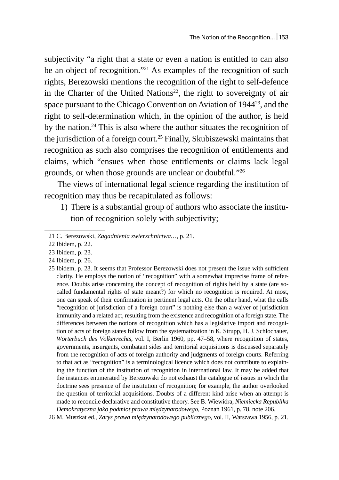subjectivity "a right that a state or even a nation is entitled to can also be an object of recognition."<sup>21</sup> As examples of the recognition of such rights, Berezowski mentions the recognition of the right to self-defence in the Charter of the United Nations<sup>22</sup>, the right to sovereignty of air space pursuant to the Chicago Convention on Aviation of 1944<sup>23</sup>, and the right to self-determination which, in the opinion of the author, is held by the nation.<sup>24</sup> This is also where the author situates the recognition of the jurisdiction of a foreign court.<sup>25</sup> Finally, Skubiszewski maintains that recognition as such also comprises the recognition of entitlements and claims, which "ensues when those entitlements or claims lack legal grounds, or when those grounds are unclear or doubtful."<sup>26</sup>

The views of international legal science regarding the institution of recognition may thus be recapitulated as follows:

1) There is a substantial group of authors who associate the institution of recognition solely with subjectivity;

24 Ibidem, p. 26.

26 M. Muszkat ed., *Zarys prawa międzynarodowego publicznego*, vol. II, Warszawa 1956, p. 21.

<sup>21</sup> C. Berezowski, *Zagadnienia zwierzchnictwa…*, p. 21.

<sup>22</sup> Ibidem, p. 22.

<sup>23</sup> Ibidem, p. 23.

<sup>25</sup> Ibidem, p. 23. It seems that Professor Berezowski does not present the issue with sufficient clarity. He employs the notion of "recognition" with a somewhat imprecise frame of reference. Doubts arise concerning the concept of recognition of rights held by a state (are socalled fundamental rights of state meant?) for which no recognition is required. At most, one can speak of their confirmation in pertinent legal acts. On the other hand, what the calls "recognition of jurisdiction of a foreign court" is nothing else than a waiver of jurisdiction immunity and a related act, resulting from the existence and recognition of a foreign state. The differences between the notions of recognition which has a legislative import and recognition of acts of foreign states follow from the systematization in K. Strupp, H. J. Schlochauer, *Wörterbuch des Völkerrechts*, vol. I, Berlin 1960, pp. 47–58, where recognition of states, governments, insurgents, combatant sides and territorial acquisitions is discussed separately from the recognition of acts of foreign authority and judgments of foreign courts. Referring to that act as "recognition" is a terminological licence which does not contribute to explaining the function of the institution of recognition in international law. It may be added that the instances enumerated by Berezowski do not exhaust the catalogue of issues in which the doctrine sees presence of the institution of recognition; for example, the author overlooked the question of territorial acquisitions. Doubts of a different kind arise when an attempt is made to reconcile declarative and constitutive theory. See B. Wiewióra, *Niemiecka Republika Demokratyczna jako podmiot prawa międzynarodowego*, Poznań 1961, p. 78, note 206.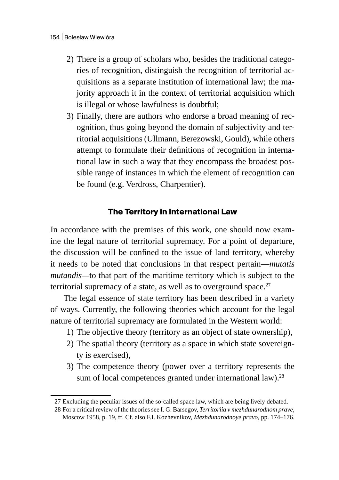- 2) There is a group of scholars who, besides the traditional categories of recognition, distinguish the recognition of territorial acquisitions as a separate institution of international law; the majority approach it in the context of territorial acquisition which is illegal or whose lawfulness is doubtful;
- 3) Finally, there are authors who endorse a broad meaning of recognition, thus going beyond the domain of subjectivity and territorial acquisitions (Ullmann, Berezowski, Gould), while others attempt to formulate their definitions of recognition in international law in such a way that they encompass the broadest possible range of instances in which the element of recognition can be found (e.g. Verdross, Charpentier).

# **The Territory in International Law**

In accordance with the premises of this work, one should now examine the legal nature of territorial supremacy. For a point of departure, the discussion will be confined to the issue of land territory, whereby it needs to be noted that conclusions in that respect pertain—*mutatis mutandis—*to that part of the maritime territory which is subject to the territorial supremacy of a state, as well as to overground space. $27$ 

The legal essence of state territory has been described in a variety of ways. Currently, the following theories which account for the legal nature of territorial supremacy are formulated in the Western world:

- 1) The objective theory (territory as an object of state ownership),
- 2) The spatial theory (territory as a space in which state sovereignty is exercised),
- 3) The competence theory (power over a territory represents the sum of local competences granted under international law). $28$

<sup>27</sup> Excluding the peculiar issues of the so-called space law, which are being lively debated.

<sup>28</sup> For a critical review of the theories see I. G. Barsegov, *Territoriia v mezhdunarodnom prave*, Moscow 1958, p. 19, ff. Cf. also F.I. Kozhevnikov, *Mezhdunarodnoye pravo*, pp. 174–176.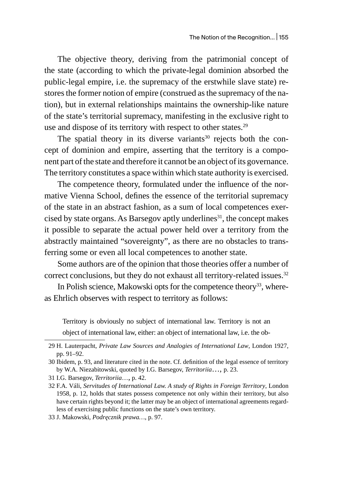The objective theory, deriving from the patrimonial concept of the state (according to which the private-legal dominion absorbed the public-legal empire, i.e. the supremacy of the erstwhile slave state) restores the former notion of empire (construed as the supremacy of the nation), but in external relationships maintains the ownership-like nature of the state's territorial supremacy, manifesting in the exclusive right to use and dispose of its territory with respect to other states.<sup>29</sup>

The spatial theory in its diverse variants $30$  rejects both the concept of dominion and empire, asserting that the territory is a component part of the state and therefore it cannot be an object of its governance. The territory constitutes a space within which state authority is exercised.

The competence theory, formulated under the influence of the normative Vienna School, defines the essence of the territorial supremacy of the state in an abstract fashion, as a sum of local competences exercised by state organs. As Barsegov aptly underlines<sup>31</sup>, the concept makes it possible to separate the actual power held over a territory from the abstractly maintained "sovereignty", as there are no obstacles to transferring some or even all local competences to another state.

Some authors are of the opinion that those theories offer a number of correct conclusions, but they do not exhaust all territory-related issues.<sup>32</sup>

In Polish science, Makowski opts for the competence theory<sup>33</sup>, whereas Ehrlich observes with respect to territory as follows:

Territory is obviously no subject of international law. Territory is not an object of international law, either: an object of international law, i.e. the ob-

<sup>29</sup> H. Lauterpacht, *Private Law Sources and Analogies of International Law*, London 1927, pp. 91–92.

<sup>30</sup> Ibidem, p. 93, and literature cited in the note. Cf. definition of the legal essence of territory by W.A. Niezabitowski, quoted by I.G. Barsegov, *Territoriia*…, p. 23.

<sup>31</sup> I.G. Barsegov, *Territoriia*…, p. 42.

<sup>32</sup> F.A. Váli, *Servitudes of International Law. A study of Rights in Foreign Territory*, London 1958, p. 12, holds that states possess competence not only within their territory, but also have certain rights beyond it; the latter may be an object of international agreements regardless of exercising public functions on the state's own territory.

<sup>33</sup> J. Makowski, *Podręcznik prawa…*, p. 97.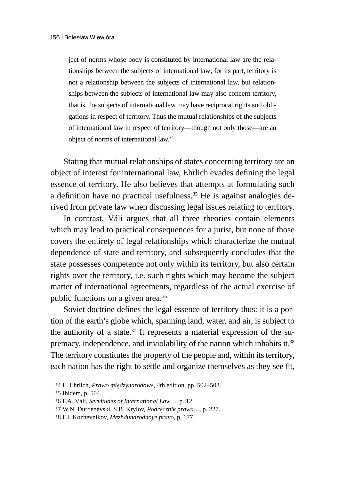ject of norms whose body is constituted by international law are the relationships between the subjects of international law; for its part, territory is not a relationship between the subjects of international law, but relationships between the subjects of international law may also concern territory, that is, the subjects of international law may have reciprocal rights and obligations in respect of territory. Thus the mutual relationships of the subjects of international law in respect of territory—though not only those—are an object of norms of international law.<sup>34</sup>

Stating that mutual relationships of states concerning territory are an object of interest for international law, Ehrlich evades defining the legal essence of territory. He also believes that attempts at formulating such a definition have no practical usefulness.<sup>35</sup> He is against analogies derived from private law when discussing legal issues relating to territory.

In contrast, Váli argues that all three theories contain elements which may lead to practical consequences for a jurist, but none of those covers the entirety of legal relationships which characterize the mutual dependence of state and territory, and subsequently concludes that the state possesses competence not only within its territory, but also certain rights over the territory, i.e. such rights which may become the subject matter of international agreements, regardless of the actual exercise of public functions on a given area.<sup>36</sup>

Soviet doctrine defines the legal essence of territory thus: it is a portion of the earth's globe which, spanning land, water, and air, is subject to the authority of a state. $37$  It represents a material expression of the supremacy, independence, and inviolability of the nation which inhabits it.<sup>38</sup> The territory constitutes the property of the people and, within its territory, each nation has the right to settle and organize themselves as they see fit,

<sup>34</sup> L. Ehrlich, *Prawo międzynarodowe*, 4th edition, pp. 502–503.

<sup>35</sup> Ibidem, p. 504.

<sup>36</sup> F.A. Váli, *Servitudes of International Law…*, p. 12.

<sup>37</sup> W.N. Durdenevski, S.B. Krylov, *Podręcznik prawa…*, p. 227.

<sup>38</sup> F.I. Kozhevnikov, *Mezhdunarodnoye pravo*, p. 177.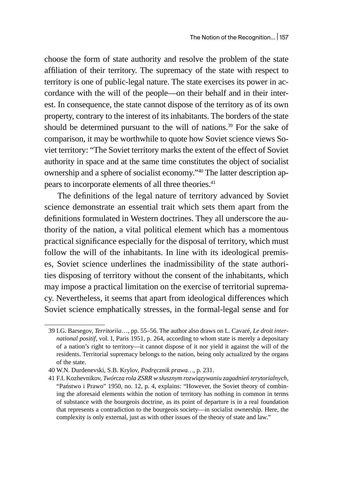choose the form of state authority and resolve the problem of the state affiliation of their territory. The supremacy of the state with respect to territory is one of public-legal nature. The state exercises its power in accordance with the will of the people—on their behalf and in their interest. In consequence, the state cannot dispose of the territory as of its own property, contrary to the interest of its inhabitants. The borders of the state should be determined pursuant to the will of nations.<sup>39</sup> For the sake of comparison, it may be worthwhile to quote how Soviet science views Soviet territory: "The Soviet territory marks the extent of the effect of Soviet authority in space and at the same time constitutes the object of socialist ownership and a sphere of socialist economy."<sup>40</sup> The latter description appears to incorporate elements of all three theories.<sup>41</sup>

The definitions of the legal nature of territory advanced by Soviet science demonstrate an essential trait which sets them apart from the definitions formulated in Western doctrines. They all underscore the authority of the nation, a vital political element which has a momentous practical significance especially for the disposal of territory, which must follow the will of the inhabitants. In line with its ideological premises, Soviet science underlines the inadmissibility of the state authorities disposing of territory without the consent of the inhabitants, which may impose a practical limitation on the exercise of territorial supremacy. Nevertheless, it seems that apart from ideological differences which Soviet science emphatically stresses, in the formal-legal sense and for

<sup>39</sup> I.G. Barsegov, *Territoriia*…, pp. 55–56. The author also draws on L. Cavaré, *Le droit international positif,* vol. I, Paris 1951, p. 264, according to whom state is merely a depositary of a nation's right to territory—it cannot dispose of it nor yield it against the will of the residents. Territorial supremacy belongs to the nation, being only actualized by the organs of the state.

<sup>40</sup> W.N. Durdenevski, S.B. Krylov, *Podręcznik prawa…*, p. 231.

<sup>41</sup> F.I. Kozhevnikov, *Twórcza rola ZSRR w słusznym rozwiązywaniu zagadnień terytorialnych*, "Państwo i Prawo" 1950, no. 12, p. 4, explains: "However, the Soviet theory of combining the aforesaid elements within the notion of territory has nothing in common in terms of substance with the bourgeois doctrine, as its point of departure is in a real foundation that represents a contradiction to the bourgeois society—in socialist ownership. Here, the complexity is only external, just as with other issues of the theory of state and law."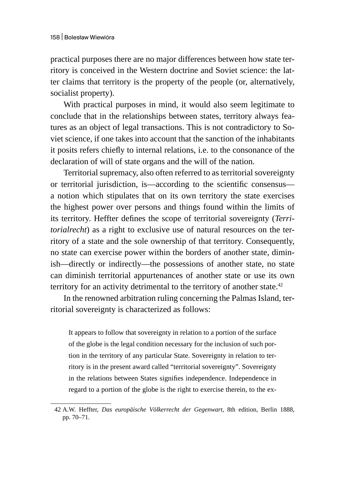practical purposes there are no major differences between how state territory is conceived in the Western doctrine and Soviet science: the latter claims that territory is the property of the people (or, alternatively, socialist property).

With practical purposes in mind, it would also seem legitimate to conclude that in the relationships between states, territory always features as an object of legal transactions. This is not contradictory to Soviet science, if one takes into account that the sanction of the inhabitants it posits refers chiefly to internal relations, i.e. to the consonance of the declaration of will of state organs and the will of the nation.

Territorial supremacy, also often referred to as territorial sovereignty or territorial jurisdiction, is—according to the scientific consensus a notion which stipulates that on its own territory the state exercises the highest power over persons and things found within the limits of its territory. Heffter defines the scope of territorial sovereignty (*Territorialrecht*) as a right to exclusive use of natural resources on the territory of a state and the sole ownership of that territory. Consequently, no state can exercise power within the borders of another state, diminish—directly or indirectly—the possessions of another state, no state can diminish territorial appurtenances of another state or use its own territory for an activity detrimental to the territory of another state.<sup>42</sup>

In the renowned arbitration ruling concerning the Palmas Island, territorial sovereignty is characterized as follows:

It appears to follow that sovereignty in relation to a portion of the surface of the globe is the legal condition necessary for the inclusion of such portion in the territory of any particular State. Sovereignty in relation to territory is in the present award called "territorial sovereignty". Sovereignty in the relations between States signifies independence. Independence in regard to a portion of the globe is the right to exercise therein, to the ex-

<sup>42</sup> A.W. Heffter, *Das europäische Völkerrecht der Gegenwart*, 8th edition, Berlin 1888, pp. 70–71.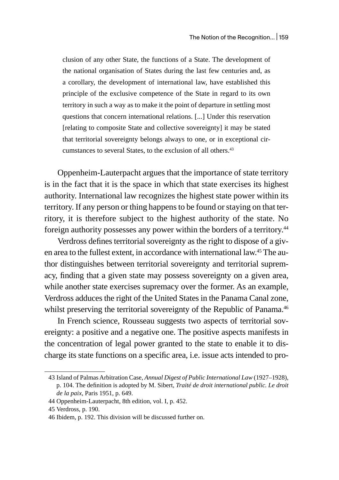clusion of any other State, the functions of a State. The development of the national organisation of States during the last few centuries and, as a corollary, the development of international law, have established this principle of the exclusive competence of the State in regard to its own territory in such a way as to make it the point of departure in settling most questions that concern international relations. [...] Under this reservation [relating to composite State and collective sovereignty] it may be stated that territorial sovereignty belongs always to one, or in exceptional circumstances to several States, to the exclusion of all others.<sup>43</sup>

Oppenheim-Lauterpacht argues that the importance of state territory is in the fact that it is the space in which that state exercises its highest authority. International law recognizes the highest state power within its territory. If any person or thing happens to be found or staying on that territory, it is therefore subject to the highest authority of the state. No foreign authority possesses any power within the borders of a territory.<sup>44</sup>

Verdross defines territorial sovereignty as the right to dispose of a given area to the fullest extent, in accordance with international law.45 The author distinguishes between territorial sovereignty and territorial supremacy, finding that a given state may possess sovereignty on a given area, while another state exercises supremacy over the former. As an example, Verdross adduces the right of the United States in the Panama Canal zone, whilst preserving the territorial sovereignty of the Republic of Panama.<sup>46</sup>

In French science, Rousseau suggests two aspects of territorial sovereignty: a positive and a negative one. The positive aspects manifests in the concentration of legal power granted to the state to enable it to discharge its state functions on a specific area, i.e. issue acts intended to pro-

<sup>43</sup> Island of Palmas Arbitration Case, *Annual Digest of Public International Law* (1927–1928), p. 104. The definition is adopted by M. Sibert, *Traité de droit international public. Le droit de la paix*, Paris 1951, p. 649.

<sup>44</sup> Oppenheim-Lauterpacht, 8th edition, vol. I, p. 452.

<sup>45</sup> Verdross, p. 190.

<sup>46</sup> Ibidem, p. 192. This division will be discussed further on.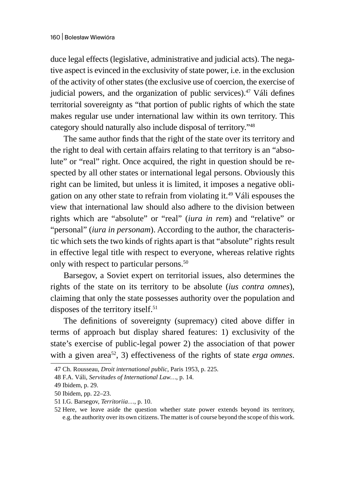duce legal effects (legislative, administrative and judicial acts). The negative aspect is evinced in the exclusivity of state power, i.e. in the exclusion of the activity of other states (the exclusive use of coercion, the exercise of judicial powers, and the organization of public services). $47$  Váli defines territorial sovereignty as "that portion of public rights of which the state makes regular use under international law within its own territory. This category should naturally also include disposal of territory."<sup>48</sup>

The same author finds that the right of the state over its territory and the right to deal with certain affairs relating to that territory is an "absolute" or "real" right. Once acquired, the right in question should be respected by all other states or international legal persons. Obviously this right can be limited, but unless it is limited, it imposes a negative obligation on any other state to refrain from violating it.<sup>49</sup> Váli espouses the view that international law should also adhere to the division between rights which are "absolute" or "real" (*iura in rem*) and "relative" or "personal" (*iura in personam*). According to the author, the characteristic which sets the two kinds of rights apart is that "absolute" rights result in effective legal title with respect to everyone, whereas relative rights only with respect to particular persons.<sup>50</sup>

Barsegov, a Soviet expert on territorial issues, also determines the rights of the state on its territory to be absolute (*ius contra omnes*), claiming that only the state possesses authority over the population and disposes of the territory itself.<sup>51</sup>

The definitions of sovereignty (supremacy) cited above differ in terms of approach but display shared features: 1) exclusivity of the state's exercise of public-legal power 2) the association of that power with a given area<sup>52</sup>, 3) effectiveness of the rights of state *erga omnes*.

<sup>47</sup> Ch. Rousseau, *Droit international public*, Paris 1953, p. 225.

<sup>48</sup> F.A. Váli, *Servitudes of International Law…*, p. 14.

<sup>49</sup> Ibidem, p. 29.

<sup>50</sup> Ibidem, pp. 22–23.

<sup>51</sup> I.G. Barsegov, *Territoriia*…, p. 10.

<sup>52</sup> Here, we leave aside the question whether state power extends beyond its territory, e.g. the authority over its own citizens. The matter is of course beyond the scope of this work.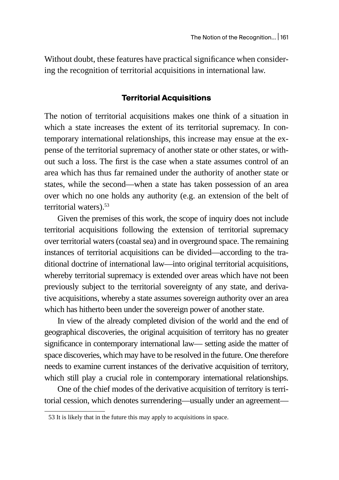Without doubt, these features have practical significance when considering the recognition of territorial acquisitions in international law.

### **Territorial Acquisitions**

The notion of territorial acquisitions makes one think of a situation in which a state increases the extent of its territorial supremacy. In contemporary international relationships, this increase may ensue at the expense of the territorial supremacy of another state or other states, or without such a loss. The first is the case when a state assumes control of an area which has thus far remained under the authority of another state or states, while the second—when a state has taken possession of an area over which no one holds any authority (e.g. an extension of the belt of territorial waters).<sup>53</sup>

Given the premises of this work, the scope of inquiry does not include territorial acquisitions following the extension of territorial supremacy over territorial waters (coastal sea) and in overground space. The remaining instances of territorial acquisitions can be divided—according to the traditional doctrine of international law—into original territorial acquisitions, whereby territorial supremacy is extended over areas which have not been previously subject to the territorial sovereignty of any state, and derivative acquisitions, whereby a state assumes sovereign authority over an area which has hitherto been under the sovereign power of another state.

In view of the already completed division of the world and the end of geographical discoveries, the original acquisition of territory has no greater significance in contemporary international law— setting aside the matter of space discoveries, which may have to be resolved in the future. One therefore needs to examine current instances of the derivative acquisition of territory, which still play a crucial role in contemporary international relationships.

One of the chief modes of the derivative acquisition of territory is territorial cession, which denotes surrendering—usually under an agreement—

<sup>53</sup> It is likely that in the future this may apply to acquisitions in space.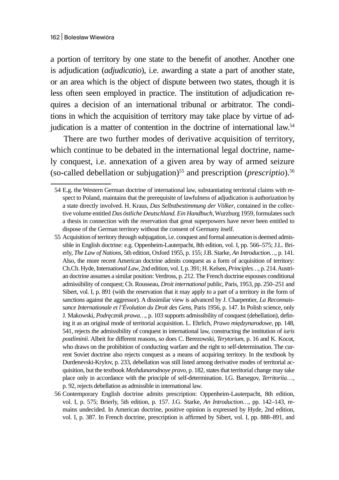a portion of territory by one state to the benefit of another. Another one is adjudication (*adjudicatio*), i.e. awarding a state a part of another state, or an area which is the object of dispute between two states, though it is less often seen employed in practice. The institution of adjudication requires a decision of an international tribunal or arbitrator. The conditions in which the acquisition of territory may take place by virtue of adjudication is a matter of contention in the doctrine of international law.<sup>54</sup>

There are two further modes of derivative acquisition of territory, which continue to be debated in the international legal doctrine, namely conquest, i.e. annexation of a given area by way of armed seizure (so-called debellation or subjugation)55 and prescription (*prescriptio*).<sup>56</sup>

<sup>54</sup> E.g. the Western German doctrine of international law, substantiating territorial claims with respect to Poland, maintains that the prerequisite of lawfulness of adjudication is authorization by a state directly involved. H. Kraus, *Das Selbstbestimmung der Völker*, contained in the collective volume entitled *Das östliche Deutschland. Ein Handbuch*, Wurzburg 1959, formulates such a thesis in connection with the reservation that great superpowers have never been entitled to dispose of the German territory without the consent of Germany itself.

<sup>55</sup> Acquisition of territory through subjugation, i.e. conquest and formal annexation is deemed admissible in English doctrine: e.g. Oppenheim-Lauterpacht, 8th edition, vol. I, pp. 566–575; J.L. Brierly, *The Law of Nations*, 5th edition, Oxford 1955, p. 155; J.B. Starke, *An Introduction…*, p. 141. Also, the more recent American doctrine admits conquest as a form of acquisition of territory: Ch.Ch. Hyde, Interna*tional Law*, 2nd edition, vol. I, p. 391; H. Kelsen, *Principles…*, p. 214. Austrian doctrine assumes a similar position: Verdross, p. 212. The French doctrine espouses conditional admissibility of conquest; Ch. Rousseau, *Droit international* public, Paris, 1953, pp. 250–251 and Sibert, vol. I, p. 891 (with the reservation that it may apply to a part of a territory in the form of sanctions against the aggressor). A dissimilar view is advanced by J. Charpentier, *La Reconnaissance Internationale et l'Évolution du Droit des Gens*, Paris 1956, p. 147. In Polish science, only J. Makowski, *Podręcznik prawa…*, p. 103 supports admissibility of conquest (debellation), defining it as an original mode of territorial acquisition. L. Ehrlich, *Prawo międzynarodowe*, pp. 148, 541, rejects the admissibility of conquest in international law, constructing the institution of *iuris postliminii*. Albeit for different reasons, so does C. Berezowski, *Terytorium*, p. 16 and K. Kocot, who draws on the prohibition of conducting warfare and the right to self-determination. The current Soviet doctrine also rejects conquest as a means of acquiring territory. In the textbook by Durdenevski-Krylov, p. 233, debellation was still listed among derivative modes of territorial acquisition, but the textbook *Mezhdunarodnoye pravo*, p. 182, states that territorial change may take place only in accordance with the principle of self-determination. I.G. Barsegov, *Territoriia*…, p. 92, rejects debellation as admissible in international law.

<sup>56</sup> Contemporary English doctrine admits prescription: Oppenheim-Lauterpacht, 8th edition, vol. I, p. 575; Brierly, 5th edition, p. 157. J.G. Starke, *An Introduction…*, pp. 142–143, remains undecided. In American doctrine, positive opinion is expressed by Hyde, 2nd edition, vol. I, p. 387. In French doctrine, prescription is affirmed by Sibert, vol. I, pp. 888–891, and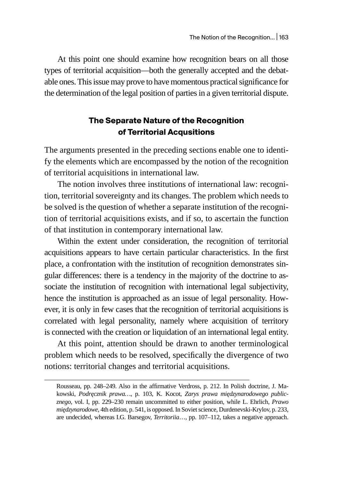At this point one should examine how recognition bears on all those types of territorial acquisition—both the generally accepted and the debatable ones. This issue may prove to have momentous practical significance for the determination of the legal position of parties in a given territorial dispute.

## **The Separate Nature of the Recognition of Territorial Acqusitions**

The arguments presented in the preceding sections enable one to identify the elements which are encompassed by the notion of the recognition of territorial acquisitions in international law.

The notion involves three institutions of international law: recognition, territorial sovereignty and its changes. The problem which needs to be solved is the question of whether a separate institution of the recognition of territorial acquisitions exists, and if so, to ascertain the function of that institution in contemporary international law.

Within the extent under consideration, the recognition of territorial acquisitions appears to have certain particular characteristics. In the first place, a confrontation with the institution of recognition demonstrates singular differences: there is a tendency in the majority of the doctrine to associate the institution of recognition with international legal subjectivity, hence the institution is approached as an issue of legal personality. However, it is only in few cases that the recognition of territorial acquisitions is correlated with legal personality, namely where acquisition of territory is connected with the creation or liquidation of an international legal entity.

At this point, attention should be drawn to another terminological problem which needs to be resolved, specifically the divergence of two notions: territorial changes and territorial acquisitions.

Rousseau, pp. 248–249. Also in the affirmative Verdross, p. 212. In Polish doctrine, J. Makowski, *Podręcznik prawa…*, p. 103, K. Kocot, *Zarys prawa międzynarodowego publicznego*, vol. I, pp. 229–230 remain uncommitted to either position, while L. Ehrlich, *Prawo międzynarodowe*, 4th edition, p. 541, is opposed. In Soviet science, Durdenevski-Krylov, p. 233, are undecided, whereas I.G. Barsegov, *Territoriia*…, pp. 107–112, takes a negative approach.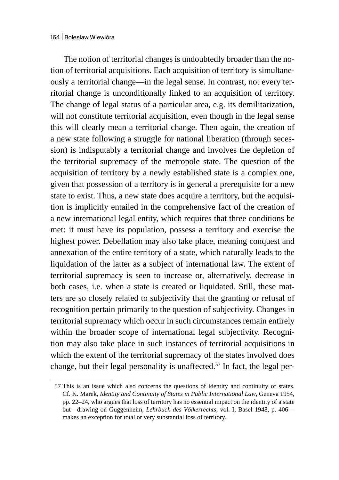The notion of territorial changes is undoubtedly broader than the notion of territorial acquisitions. Each acquisition of territory is simultaneously a territorial change—in the legal sense. In contrast, not every territorial change is unconditionally linked to an acquisition of territory. The change of legal status of a particular area, e.g. its demilitarization, will not constitute territorial acquisition, even though in the legal sense this will clearly mean a territorial change. Then again, the creation of a new state following a struggle for national liberation (through secession) is indisputably a territorial change and involves the depletion of the territorial supremacy of the metropole state. The question of the acquisition of territory by a newly established state is a complex one, given that possession of a territory is in general a prerequisite for a new state to exist. Thus, a new state does acquire a territory, but the acquisition is implicitly entailed in the comprehensive fact of the creation of a new international legal entity, which requires that three conditions be met: it must have its population, possess a territory and exercise the highest power. Debellation may also take place, meaning conquest and annexation of the entire territory of a state, which naturally leads to the liquidation of the latter as a subject of international law. The extent of territorial supremacy is seen to increase or, alternatively, decrease in both cases, i.e. when a state is created or liquidated. Still, these matters are so closely related to subjectivity that the granting or refusal of recognition pertain primarily to the question of subjectivity. Changes in territorial supremacy which occur in such circumstances remain entirely within the broader scope of international legal subjectivity. Recognition may also take place in such instances of territorial acquisitions in which the extent of the territorial supremacy of the states involved does change, but their legal personality is unaffected.<sup>57</sup> In fact, the legal per-

<sup>57</sup> This is an issue which also concerns the questions of identity and continuity of states. Cf. K. Marek, *Identity and Continuity of States in Public International Law*, Geneva 1954, pp. 22–24, who argues that loss of territory has no essential impact on the identity of a state but—drawing on Guggenheim, *Lehrbuch des Völkerrechts*, vol. I, Basel 1948, p. 406 makes an exception for total or very substantial loss of territory.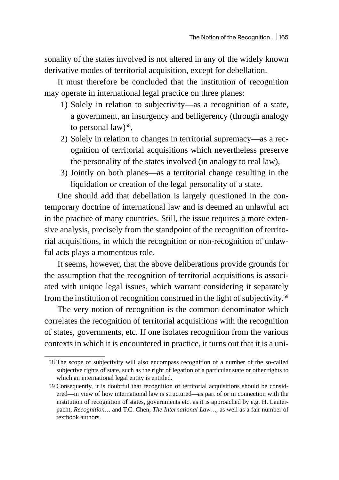sonality of the states involved is not altered in any of the widely known derivative modes of territorial acquisition, except for debellation.

It must therefore be concluded that the institution of recognition may operate in international legal practice on three planes:

- 1) Solely in relation to subjectivity—as a recognition of a state, a government, an insurgency and belligerency (through analogy to personal law)<sup>58</sup>,
- 2) Solely in relation to changes in territorial supremacy—as a recognition of territorial acquisitions which nevertheless preserve the personality of the states involved (in analogy to real law),
- 3) Jointly on both planes—as a territorial change resulting in the liquidation or creation of the legal personality of a state.

One should add that debellation is largely questioned in the contemporary doctrine of international law and is deemed an unlawful act in the practice of many countries. Still, the issue requires a more extensive analysis, precisely from the standpoint of the recognition of territorial acquisitions, in which the recognition or non-recognition of unlawful acts plays a momentous role.

It seems, however, that the above deliberations provide grounds for the assumption that the recognition of territorial acquisitions is associated with unique legal issues, which warrant considering it separately from the institution of recognition construed in the light of subjectivity.<sup>59</sup>

The very notion of recognition is the common denominator which correlates the recognition of territorial acquisitions with the recognition of states, governments, etc. If one isolates recognition from the various contexts in which it is encountered in practice, it turns out that it is a uni-

<sup>58</sup> The scope of subjectivity will also encompass recognition of a number of the so-called subjective rights of state, such as the right of legation of a particular state or other rights to which an international legal entity is entitled.

<sup>59</sup> Consequently, it is doubtful that recognition of territorial acquisitions should be considered—in view of how international law is structured—as part of or in connection with the institution of recognition of states, governments etc. as it is approached by e.g. H. Lauterpacht, *Recognition…* and T.C. Chen, *The International Law…*, as well as a fair number of textbook authors.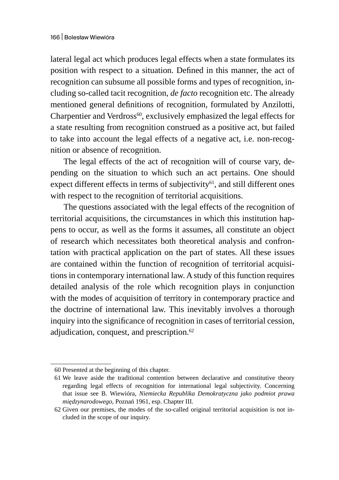lateral legal act which produces legal effects when a state formulates its position with respect to a situation. Defined in this manner, the act of recognition can subsume all possible forms and types of recognition, including so-called tacit recognition, *de facto* recognition etc. The already mentioned general definitions of recognition, formulated by Anzilotti, Charpentier and Verdross<sup>60</sup>, exclusively emphasized the legal effects for a state resulting from recognition construed as a positive act, but failed to take into account the legal effects of a negative act, i.e. non-recognition or absence of recognition.

The legal effects of the act of recognition will of course vary, depending on the situation to which such an act pertains. One should expect different effects in terms of subjectivity $61$ , and still different ones with respect to the recognition of territorial acquisitions.

The questions associated with the legal effects of the recognition of territorial acquisitions, the circumstances in which this institution happens to occur, as well as the forms it assumes, all constitute an object of research which necessitates both theoretical analysis and confrontation with practical application on the part of states. All these issues are contained within the function of recognition of territorial acquisitions in contemporary international law. A study of this function requires detailed analysis of the role which recognition plays in conjunction with the modes of acquisition of territory in contemporary practice and the doctrine of international law. This inevitably involves a thorough inquiry into the significance of recognition in cases of territorial cession, adjudication, conquest, and prescription.<sup>62</sup>

<sup>60</sup> Presented at the beginning of this chapter.

<sup>61</sup> We leave aside the traditional contention between declarative and constitutive theory regarding legal effects of recognition for international legal subjectivity. Concerning that issue see B. Wiewióra, *Niemiecka Republika Demokratyczna jako podmiot prawa międzynarodowego,* Poznań 1961, esp. Chapter III.

<sup>62</sup> Given our premises, the modes of the so-called original territorial acquisition is not included in the scope of our inquiry.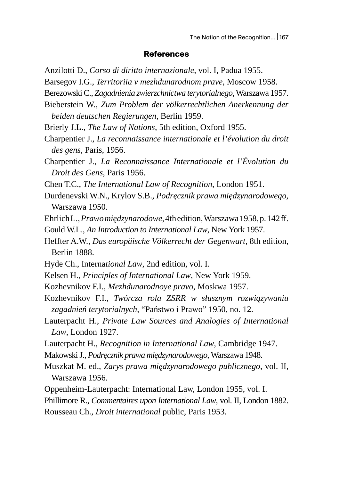#### **References**

Anzilotti D., *Corso di diritto internazionale*, vol. I, Padua 1955.

Barsegov I.G., *Territoriia v mezhdunarodnom prave*, Moscow 1958.

- Berezowski C., *Zagadnienia zwierzchnictwa terytorialnego*, Warszawa 1957.
- Bieberstein W., *Zum Problem der völkerrechtlichen Anerkennung der beiden deutschen Regierungen*, Berlin 1959.
- Brierly J.L., *The Law of Nations*, 5th edition, Oxford 1955.
- Charpentier J., *La reconnaissance internationale et l'évolution du droit des gens*, Paris, 1956.
- Charpentier J., *La Reconnaissance Internationale et l'Évolution du Droit des Gens*, Paris 1956.
- Chen T.C., *The International Law of Recognition*, London 1951.
- Durdenevski W.N., Krylov S.B., *Podręcznik prawa międzynarodowego*, Warszawa 1950.
- Ehrlich L., *Prawo międzynarodowe*, 4th edition, Warszawa 1958, p. 142 ff.
- Gould W.L., *An Introduction to International Law*, New York 1957.
- Heffter A.W., *Das europäische Völkerrecht der Gegenwart*, 8th edition, Berlin 1888.
- Hyde Ch., Interna*tional Law*, 2nd edition, vol. I.
- Kelsen H., *Principles of International Law*, New York 1959.
- Kozhevnikov F.I., *Mezhdunarodnoye pravo*, Moskwa 1957.
- Kozhevnikov F.I., *Twórcza rola ZSRR w słusznym rozwiązywaniu zagadnień terytorialnych*, "Państwo i Prawo" 1950, no. 12.
- Lauterpacht H., *Private Law Sources and Analogies of International Law*, London 1927.
- Lauterpacht H., *Recognition in International Law*, Cambridge 1947.
- Makowski J., *Podręcznik prawa międzynarodowego*, Warszawa 1948.
- Muszkat M. ed., *Zarys prawa międzynarodowego publicznego*, vol. II, Warszawa 1956.
- Oppenheim-Lauterpacht: International Law, London 1955, vol. I.

Phillimore R., *Commentaires upon International Law*, vol. II, London 1882. Rousseau Ch., *Droit international* public, Paris 1953.